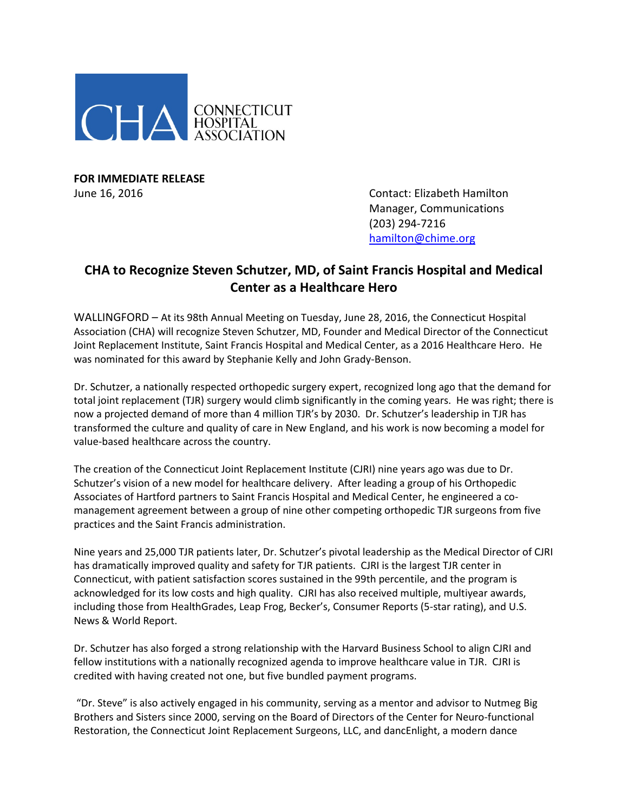

**FOR IMMEDIATE RELEASE**

June 16, 2016 Contact: Elizabeth Hamilton Manager, Communications (203) 294-7216 [hamilton@chime.org](mailto:hamilton@chime.org)

## **CHA to Recognize Steven Schutzer, MD, of Saint Francis Hospital and Medical Center as a Healthcare Hero**

WALLINGFORD – At its 98th Annual Meeting on Tuesday, June 28, 2016, the Connecticut Hospital Association (CHA) will recognize Steven Schutzer, MD, Founder and Medical Director of the Connecticut Joint Replacement Institute, Saint Francis Hospital and Medical Center, as a 2016 Healthcare Hero. He was nominated for this award by Stephanie Kelly and John Grady-Benson.

Dr. Schutzer, a nationally respected orthopedic surgery expert, recognized long ago that the demand for total joint replacement (TJR) surgery would climb significantly in the coming years. He was right; there is now a projected demand of more than 4 million TJR's by 2030. Dr. Schutzer's leadership in TJR has transformed the culture and quality of care in New England, and his work is now becoming a model for value-based healthcare across the country.

The creation of the Connecticut Joint Replacement Institute (CJRI) nine years ago was due to Dr. Schutzer's vision of a new model for healthcare delivery. After leading a group of his Orthopedic Associates of Hartford partners to Saint Francis Hospital and Medical Center, he engineered a comanagement agreement between a group of nine other competing orthopedic TJR surgeons from five practices and the Saint Francis administration.

Nine years and 25,000 TJR patients later, Dr. Schutzer's pivotal leadership as the Medical Director of CJRI has dramatically improved quality and safety for TJR patients. CJRI is the largest TJR center in Connecticut, with patient satisfaction scores sustained in the 99th percentile, and the program is acknowledged for its low costs and high quality. CJRI has also received multiple, multiyear awards, including those from HealthGrades, Leap Frog, Becker's, Consumer Reports (5-star rating), and U.S. News & World Report.

Dr. Schutzer has also forged a strong relationship with the Harvard Business School to align CJRI and fellow institutions with a nationally recognized agenda to improve healthcare value in TJR. CJRI is credited with having created not one, but five bundled payment programs.

"Dr. Steve" is also actively engaged in his community, serving as a mentor and advisor to Nutmeg Big Brothers and Sisters since 2000, serving on the Board of Directors of the Center for Neuro-functional Restoration, the Connecticut Joint Replacement Surgeons, LLC, and dancEnlight, a modern dance